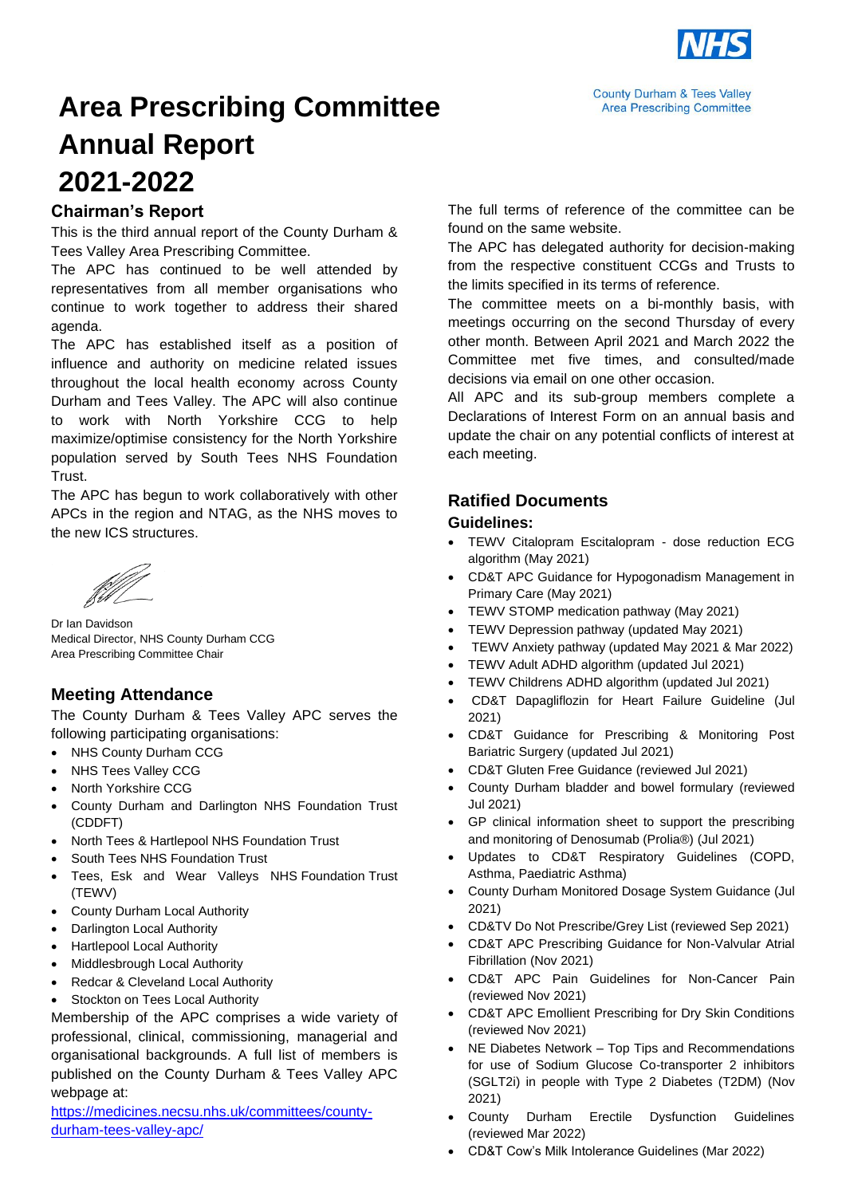

**County Durham & Tees Valley Area Prescribing Committee** 

## **Area Prescribing Committee Annual Report 2021-2022**

#### **Chairman's Report**

This is the third annual report of the County Durham & Tees Valley Area Prescribing Committee.

The APC has continued to be well attended by representatives from all member organisations who continue to work together to address their shared agenda.

The APC has established itself as a position of influence and authority on medicine related issues throughout the local health economy across County Durham and Tees Valley. The APC will also continue to work with North Yorkshire CCG to help maximize/optimise consistency for the North Yorkshire population served by South Tees NHS Foundation Trust.

The APC has begun to work collaboratively with other APCs in the region and NTAG, as the NHS moves to the new ICS structures.

Dr Ian Davidson Medical Director, NHS County Durham CCG Area Prescribing Committee Chair

#### **Meeting Attendance**

The County Durham & Tees Valley APC serves the following participating organisations:

- NHS County Durham CCG
- NHS Tees Valley CCG
- North Yorkshire CCG
- County Durham and Darlington NHS Foundation Trust (CDDFT)
- North Tees & Hartlepool NHS Foundation Trust
- South Tees NHS Foundation Trust
- Tees, Esk and Wear Valleys NHS Foundation Trust (TEWV)
- County Durham Local Authority
- **Darlington Local Authority**
- Hartlepool Local Authority
- Middlesbrough Local Authority
- Redcar & Cleveland Local Authority
- Stockton on Tees Local Authority

Membership of the APC comprises a wide variety of professional, clinical, commissioning, managerial and organisational backgrounds. A full list of members is published on the County Durham & Tees Valley APC webpage at:

[https://medicines.necsu.nhs.uk/committees/county](https://medicines.necsu.nhs.uk/committees/county-durham-tees-valley-apc/)[durham-tees-valley-apc/](https://medicines.necsu.nhs.uk/committees/county-durham-tees-valley-apc/)

The full terms of reference of the committee can be found on the same website.

The APC has delegated authority for decision-making from the respective constituent CCGs and Trusts to the limits specified in its terms of reference.

The committee meets on a bi-monthly basis, with meetings occurring on the second Thursday of every other month. Between April 2021 and March 2022 the Committee met five times, and consulted/made decisions via email on one other occasion.

All APC and its sub-group members complete a Declarations of Interest Form on an annual basis and update the chair on any potential conflicts of interest at each meeting.

#### **Ratified Documents**

#### **Guidelines:**

- TEWV Citalopram Escitalopram dose reduction ECG algorithm (May 2021)
- CD&T APC Guidance for Hypogonadism Management in Primary Care (May 2021)
- TEWV STOMP medication pathway (May 2021)
- TEWV Depression pathway (updated May 2021)
- TEWV Anxiety pathway (updated May 2021 & Mar 2022)
- TEWV Adult ADHD algorithm (updated Jul 2021)
- TEWV Childrens ADHD algorithm (updated Jul 2021)
- CD&T Dapagliflozin for Heart Failure Guideline (Jul 2021)
- CD&T Guidance for Prescribing & Monitoring Post Bariatric Surgery (updated Jul 2021)
- CD&T Gluten Free Guidance (reviewed Jul 2021)
- County Durham bladder and bowel formulary (reviewed Jul 2021)
- GP clinical information sheet to support the prescribing and monitoring of Denosumab (Prolia®) (Jul 2021)
- Updates to CD&T Respiratory Guidelines (COPD, Asthma, Paediatric Asthma)
- County Durham Monitored Dosage System Guidance (Jul 2021)
- CD&TV Do Not Prescribe/Grey List (reviewed Sep 2021)
- CD&T APC Prescribing Guidance for Non-Valvular Atrial Fibrillation (Nov 2021)
- CD&T APC Pain Guidelines for Non-Cancer Pain (reviewed Nov 2021)
- CD&T APC Emollient Prescribing for Dry Skin Conditions (reviewed Nov 2021)
- NE Diabetes Network Top Tips and Recommendations for use of Sodium Glucose Co-transporter 2 inhibitors (SGLT2i) in people with Type 2 Diabetes (T2DM) (Nov 2021)
- County Durham Erectile Dysfunction Guidelines (reviewed Mar 2022)
- CD&T Cow's Milk Intolerance Guidelines (Mar 2022)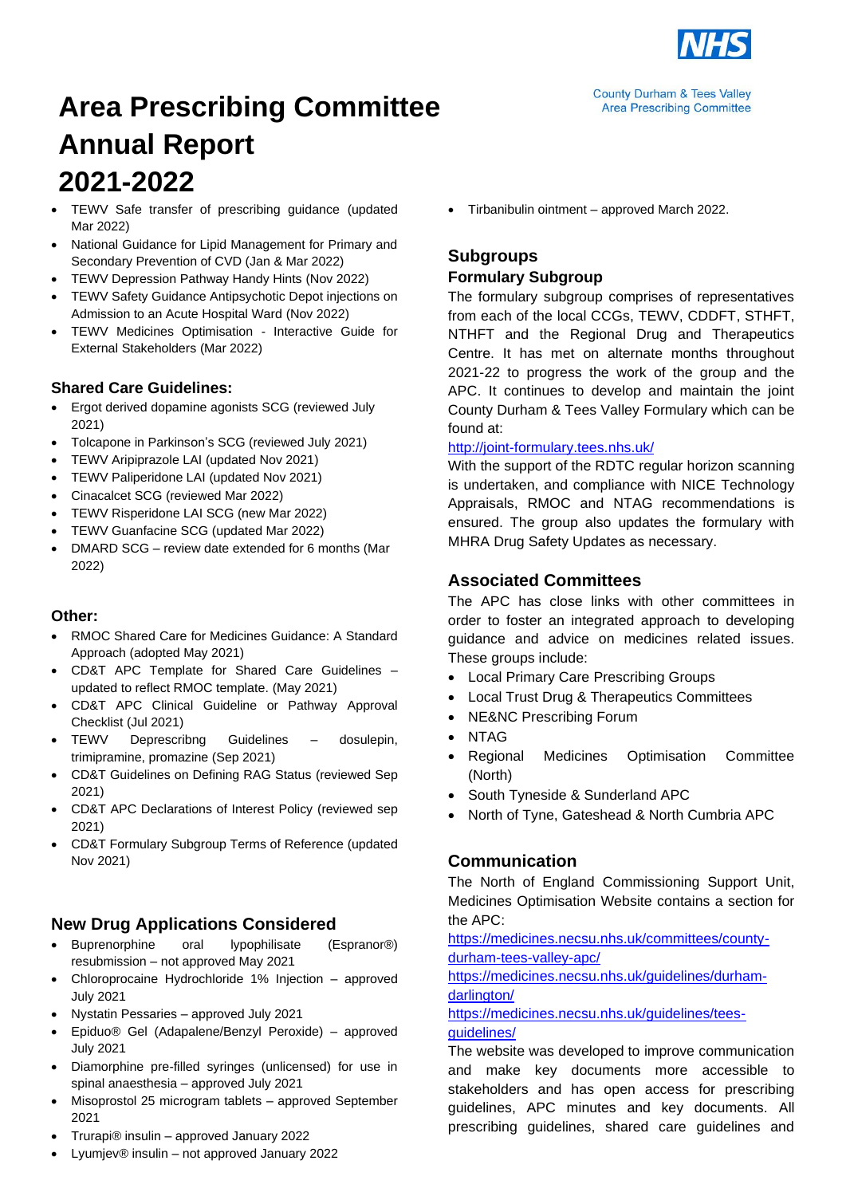

**County Durham & Tees Valley Area Prescribing Committee** 

# **Area Prescribing Committee Annual Report 2021-2022**

- TEWV Safe transfer of prescribing guidance (updated Mar 2022)
- National Guidance for Lipid Management for Primary and Secondary Prevention of CVD (Jan & Mar 2022)
- TEWV Depression Pathway Handy Hints (Nov 2022)
- TEWV Safety Guidance Antipsychotic Depot injections on Admission to an Acute Hospital Ward (Nov 2022)
- TEWV Medicines Optimisation Interactive Guide for External Stakeholders (Mar 2022)

## **Shared Care Guidelines:**

- Ergot derived dopamine agonists SCG (reviewed July 2021)
- Tolcapone in Parkinson's SCG (reviewed July 2021)
- TEWV Aripiprazole LAI (updated Nov 2021)
- TEWV Paliperidone LAI (updated Nov 2021)
- Cinacalcet SCG (reviewed Mar 2022)
- TEWV Risperidone LAI SCG (new Mar 2022)
- TEWV Guanfacine SCG (updated Mar 2022)
- DMARD SCG review date extended for 6 months (Mar 2022)

#### **Other:**

- RMOC Shared Care for Medicines Guidance: A Standard Approach (adopted May 2021)
- CD&T APC Template for Shared Care Guidelines updated to reflect RMOC template. (May 2021)
- CD&T APC Clinical Guideline or Pathway Approval Checklist (Jul 2021)
- TEWV Deprescribng Guidelines dosulepin, trimipramine, promazine (Sep 2021)
- CD&T Guidelines on Defining RAG Status (reviewed Sep 2021)
- CD&T APC Declarations of Interest Policy (reviewed sep 2021)
- CD&T Formulary Subgroup Terms of Reference (updated Nov 2021)

## **New Drug Applications Considered**

- Buprenorphine oral lypophilisate (Espranor®) resubmission – not approved May 2021
- Chloroprocaine Hydrochloride 1% Injection approved July 2021
- Nystatin Pessaries approved July 2021
- Epiduo® Gel (Adapalene/Benzyl Peroxide) approved July 2021
- Diamorphine pre-filled syringes (unlicensed) for use in spinal anaesthesia – approved July 2021
- Misoprostol 25 microgram tablets approved September 2021
- Trurapi® insulin approved January 2022
- Lyumjev® insulin not approved January 2022

• Tirbanibulin ointment – approved March 2022.

## **Subgroups Formulary Subgroup**

The formulary subgroup comprises of representatives from each of the local CCGs, TEWV, CDDFT, STHFT, NTHFT and the Regional Drug and Therapeutics Centre. It has met on alternate months throughout 2021-22 to progress the work of the group and the APC. It continues to develop and maintain the joint County Durham & Tees Valley Formulary which can be found at:

#### <http://joint-formulary.tees.nhs.uk/>

With the support of the RDTC regular horizon scanning is undertaken, and compliance with NICE Technology Appraisals, RMOC and NTAG recommendations is ensured. The group also updates the formulary with MHRA Drug Safety Updates as necessary.

## **Associated Committees**

The APC has close links with other committees in order to foster an integrated approach to developing guidance and advice on medicines related issues. These groups include:

- Local Primary Care Prescribing Groups
- Local Trust Drug & Therapeutics Committees
- NE&NC Prescribing Forum
- NTAG
- Regional Medicines Optimisation Committee (North)
- South Tyneside & Sunderland APC
- North of Tyne, Gateshead & North Cumbria APC

## **Communication**

The North of England Commissioning Support Unit, Medicines Optimisation Website contains a section for the APC:

[https://medicines.necsu.nhs.uk/committees/county](https://medicines.necsu.nhs.uk/committees/county-durham-tees-valley-apc/)[durham-tees-valley-apc/](https://medicines.necsu.nhs.uk/committees/county-durham-tees-valley-apc/)

[https://medicines.necsu.nhs.uk/guidelines/durham](https://medicines.necsu.nhs.uk/guidelines/durham-darlington/)[darlington/](https://medicines.necsu.nhs.uk/guidelines/durham-darlington/)

#### [https://medicines.necsu.nhs.uk/guidelines/tees](https://medicines.necsu.nhs.uk/guidelines/tees-guidelines/)[guidelines/](https://medicines.necsu.nhs.uk/guidelines/tees-guidelines/)

The website was developed to improve communication and make key documents more accessible to stakeholders and has open access for prescribing guidelines, APC minutes and key documents. All prescribing guidelines, shared care guidelines and